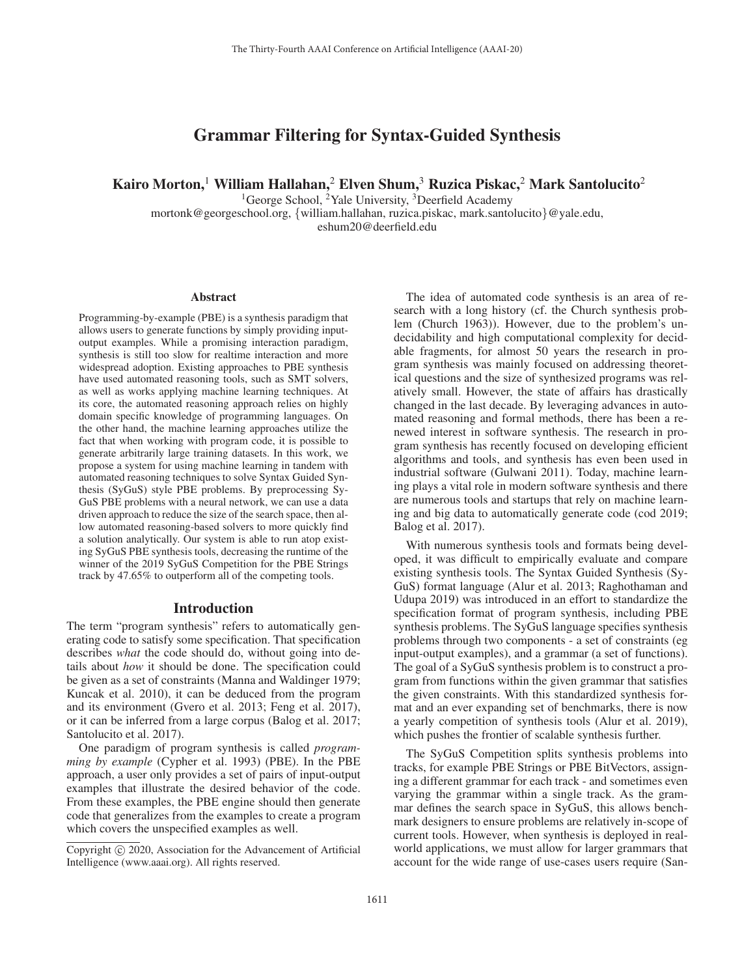# Grammar Filtering for Syntax-Guided Synthesis

Kairo Morton,<sup>1</sup> William Hallahan,<sup>2</sup> Elven Shum,<sup>3</sup> Ruzica Piskac,<sup>2</sup> Mark Santolucito<sup>2</sup>

<sup>1</sup>George School, <sup>2</sup>Yale University, <sup>3</sup>Deerfield Academy mortonk@georgeschool.org, {william.hallahan, ruzica.piskac, mark.santolucito}@yale.edu, eshum20@deerfield.edu

#### Abstract

Programming-by-example (PBE) is a synthesis paradigm that allows users to generate functions by simply providing inputoutput examples. While a promising interaction paradigm, synthesis is still too slow for realtime interaction and more widespread adoption. Existing approaches to PBE synthesis have used automated reasoning tools, such as SMT solvers, as well as works applying machine learning techniques. At its core, the automated reasoning approach relies on highly domain specific knowledge of programming languages. On the other hand, the machine learning approaches utilize the fact that when working with program code, it is possible to generate arbitrarily large training datasets. In this work, we propose a system for using machine learning in tandem with automated reasoning techniques to solve Syntax Guided Synthesis (SyGuS) style PBE problems. By preprocessing Sy-GuS PBE problems with a neural network, we can use a data driven approach to reduce the size of the search space, then allow automated reasoning-based solvers to more quickly find a solution analytically. Our system is able to run atop existing SyGuS PBE synthesis tools, decreasing the runtime of the winner of the 2019 SyGuS Competition for the PBE Strings track by 47.65% to outperform all of the competing tools.

### Introduction

The term "program synthesis" refers to automatically generating code to satisfy some specification. That specification describes *what* the code should do, without going into details about *how* it should be done. The specification could be given as a set of constraints (Manna and Waldinger 1979; Kuncak et al. 2010), it can be deduced from the program and its environment (Gvero et al. 2013; Feng et al. 2017), or it can be inferred from a large corpus (Balog et al. 2017; Santolucito et al. 2017).

One paradigm of program synthesis is called *programming by example* (Cypher et al. 1993) (PBE). In the PBE approach, a user only provides a set of pairs of input-output examples that illustrate the desired behavior of the code. From these examples, the PBE engine should then generate code that generalizes from the examples to create a program which covers the unspecified examples as well.

The idea of automated code synthesis is an area of research with a long history (cf. the Church synthesis problem (Church 1963)). However, due to the problem's undecidability and high computational complexity for decidable fragments, for almost 50 years the research in program synthesis was mainly focused on addressing theoretical questions and the size of synthesized programs was relatively small. However, the state of affairs has drastically changed in the last decade. By leveraging advances in automated reasoning and formal methods, there has been a renewed interest in software synthesis. The research in program synthesis has recently focused on developing efficient algorithms and tools, and synthesis has even been used in industrial software (Gulwani 2011). Today, machine learning plays a vital role in modern software synthesis and there are numerous tools and startups that rely on machine learning and big data to automatically generate code (cod 2019; Balog et al. 2017).

With numerous synthesis tools and formats being developed, it was difficult to empirically evaluate and compare existing synthesis tools. The Syntax Guided Synthesis (Sy-GuS) format language (Alur et al. 2013; Raghothaman and Udupa 2019) was introduced in an effort to standardize the specification format of program synthesis, including PBE synthesis problems. The SyGuS language specifies synthesis problems through two components - a set of constraints (eg input-output examples), and a grammar (a set of functions). The goal of a SyGuS synthesis problem is to construct a program from functions within the given grammar that satisfies the given constraints. With this standardized synthesis format and an ever expanding set of benchmarks, there is now a yearly competition of synthesis tools (Alur et al. 2019), which pushes the frontier of scalable synthesis further.

The SyGuS Competition splits synthesis problems into tracks, for example PBE Strings or PBE BitVectors, assigning a different grammar for each track - and sometimes even varying the grammar within a single track. As the grammar defines the search space in SyGuS, this allows benchmark designers to ensure problems are relatively in-scope of current tools. However, when synthesis is deployed in realworld applications, we must allow for larger grammars that account for the wide range of use-cases users require (San-

Copyright  $\odot$  2020, Association for the Advancement of Artificial Intelligence (www.aaai.org). All rights reserved.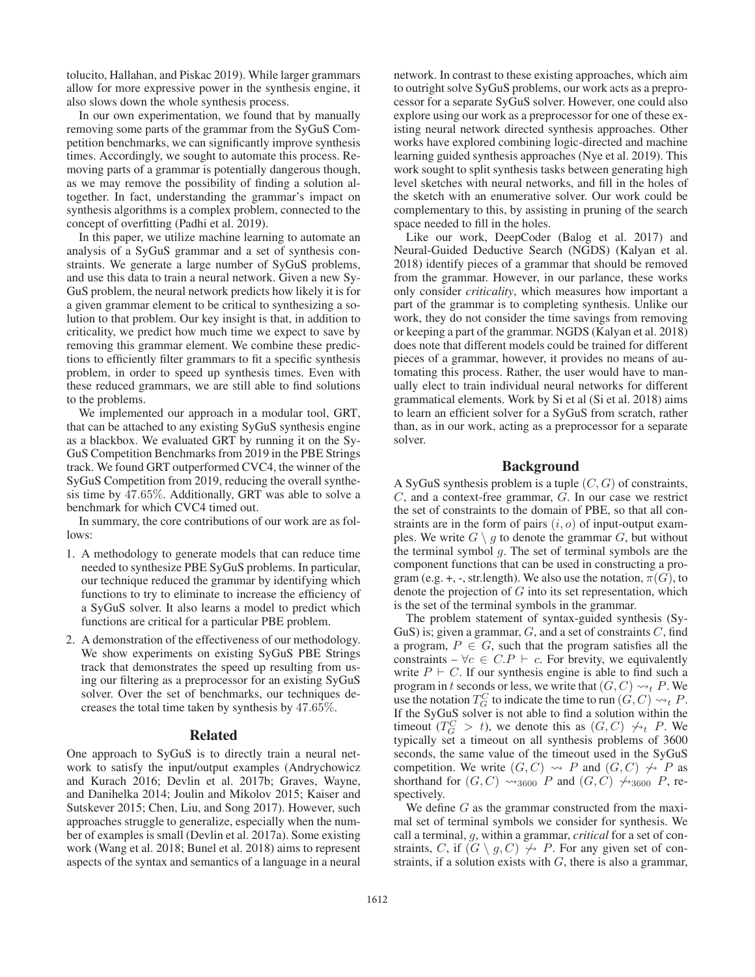tolucito, Hallahan, and Piskac 2019). While larger grammars allow for more expressive power in the synthesis engine, it also slows down the whole synthesis process.

In our own experimentation, we found that by manually removing some parts of the grammar from the SyGuS Competition benchmarks, we can significantly improve synthesis times. Accordingly, we sought to automate this process. Removing parts of a grammar is potentially dangerous though, as we may remove the possibility of finding a solution altogether. In fact, understanding the grammar's impact on synthesis algorithms is a complex problem, connected to the concept of overfitting (Padhi et al. 2019).

In this paper, we utilize machine learning to automate an analysis of a SyGuS grammar and a set of synthesis constraints. We generate a large number of SyGuS problems, and use this data to train a neural network. Given a new Sy-GuS problem, the neural network predicts how likely it is for a given grammar element to be critical to synthesizing a solution to that problem. Our key insight is that, in addition to criticality, we predict how much time we expect to save by removing this grammar element. We combine these predictions to efficiently filter grammars to fit a specific synthesis problem, in order to speed up synthesis times. Even with these reduced grammars, we are still able to find solutions to the problems.

We implemented our approach in a modular tool, GRT, that can be attached to any existing SyGuS synthesis engine as a blackbox. We evaluated GRT by running it on the Sy-GuS Competition Benchmarks from 2019 in the PBE Strings track. We found GRT outperformed CVC4, the winner of the SyGuS Competition from 2019, reducing the overall synthesis time by <sup>47</sup>.65%. Additionally, GRT was able to solve a benchmark for which CVC4 timed out.

In summary, the core contributions of our work are as follows:

- 1. A methodology to generate models that can reduce time needed to synthesize PBE SyGuS problems. In particular, our technique reduced the grammar by identifying which functions to try to eliminate to increase the efficiency of a SyGuS solver. It also learns a model to predict which functions are critical for a particular PBE problem.
- 2. A demonstration of the effectiveness of our methodology. We show experiments on existing SyGuS PBE Strings track that demonstrates the speed up resulting from using our filtering as a preprocessor for an existing SyGuS solver. Over the set of benchmarks, our techniques decreases the total time taken by synthesis by <sup>47</sup>.65%.

### Related

One approach to SyGuS is to directly train a neural network to satisfy the input/output examples (Andrychowicz and Kurach 2016; Devlin et al. 2017b; Graves, Wayne, and Danihelka 2014; Joulin and Mikolov 2015; Kaiser and Sutskever 2015; Chen, Liu, and Song 2017). However, such approaches struggle to generalize, especially when the number of examples is small (Devlin et al. 2017a). Some existing work (Wang et al. 2018; Bunel et al. 2018) aims to represent aspects of the syntax and semantics of a language in a neural

network. In contrast to these existing approaches, which aim to outright solve SyGuS problems, our work acts as a preprocessor for a separate SyGuS solver. However, one could also explore using our work as a preprocessor for one of these existing neural network directed synthesis approaches. Other works have explored combining logic-directed and machine learning guided synthesis approaches (Nye et al. 2019). This work sought to split synthesis tasks between generating high level sketches with neural networks, and fill in the holes of the sketch with an enumerative solver. Our work could be complementary to this, by assisting in pruning of the search space needed to fill in the holes.

Like our work, DeepCoder (Balog et al. 2017) and Neural-Guided Deductive Search (NGDS) (Kalyan et al. 2018) identify pieces of a grammar that should be removed from the grammar. However, in our parlance, these works only consider *criticality*, which measures how important a part of the grammar is to completing synthesis. Unlike our work, they do not consider the time savings from removing or keeping a part of the grammar. NGDS (Kalyan et al. 2018) does note that different models could be trained for different pieces of a grammar, however, it provides no means of automating this process. Rather, the user would have to manually elect to train individual neural networks for different grammatical elements. Work by Si et al (Si et al. 2018) aims to learn an efficient solver for a SyGuS from scratch, rather than, as in our work, acting as a preprocessor for a separate solver.

### Background

A SyGuS synthesis problem is a tuple  $(C, G)$  of constraints, C, and a context-free grammar, G. In our case we restrict the set of constraints to the domain of PBE, so that all constraints are in the form of pairs  $(i, o)$  of input-output examples. We write  $G \setminus g$  to denote the grammar  $G$ , but without the terminal symbol  $g$ . The set of terminal symbols are the component functions that can be used in constructing a program (e.g. +, -, str.length). We also use the notation,  $\pi(G)$ , to denote the projection of  $G$  into its set representation, which is the set of the terminal symbols in the grammar.

The problem statement of syntax-guided synthesis (Sy-GuS) is; given a grammar,  $G$ , and a set of constraints  $C$ , find a program,  $P \in G$ , such that the program satisfies all the constraints –  $\forall c \in C.P \vdash c$ . For brevity, we equivalently write  $P \vdash C$ . If our synthesis engine is able to find such a program in t seconds or less, we write that  $(G, C) \rightsquigarrow_t P$ . We use the notation  $T^C$  to indicate the time to run  $(G, C) \rightsquigarrow_t P$ use the notation  $T_G^C$  to indicate the time to run  $(G, C) \rightsquigarrow_t P$ .<br>If the SyGuS solver is not able to find a solution within the If the SyGuS solver is not able to find a solution within the timeout  $(T_G^C > t)$ , we denote this as  $(G, C) \nrightarrow_t P$ . We typically set a timeout on all synthesis problems of 3600 typically set a timeout on all synthesis problems of 3600 seconds, the same value of the timeout used in the SyGuS competition. We write  $(G, C) \rightsquigarrow P$  and  $(G, C) \not\rightsquigarrow P$  as<br>shorthand for  $(G, C)$   $\rightsquigarrow$  and  $(G, C)$   $\rightsquigarrow$  areas  $P$  reshorthand for  $(G, C) \rightsquigarrow_{3600} P$  and  $(G, C) \not\rightsquigarrow_{3600} P$ , respectively spectively.

We define  $G$  as the grammar constructed from the maximal set of terminal symbols we consider for synthesis. We call a terminal, g, within a grammar, *critical* for a set of constraints, C, if  $(G \setminus g, C) \not\rightarrow P$ . For any given set of constraints if a solution exists with G there is also a grammar straints, if a solution exists with  $G$ , there is also a grammar,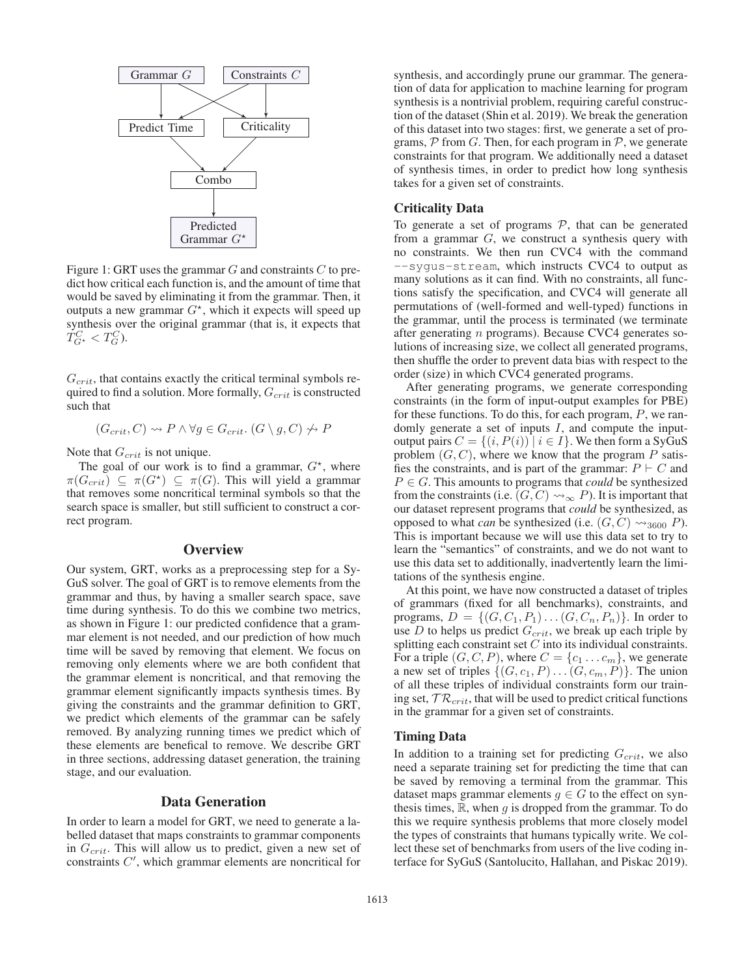

Figure 1: GRT uses the grammar  $G$  and constraints  $C$  to predict how critical each function is, and the amount of time that would be saved by eliminating it from the grammar. Then, it outputs a new grammar  $G^*$ , which it expects will speed up synthesis over the original grammar (that is it expects that synthesis over the original grammar (that is, it expects that  $T_{G^*}^C < T_G^C$ ).

 $G_{crit}$ , that contains exactly the critical terminal symbols required to find a solution. More formally,  $G_{crit}$  is constructed such that

$$
(G_{crit}, C) \rightsquigarrow P \land \forall g \in G_{crit}. (G \setminus g, C) \not\rightsquigarrow P
$$

Note that  $G_{crit}$  is not unique.

The goal of our work is to find a grammar,  $G^*$ , where  $G_{m+1} \subset \pi(G^*) \subset \pi(G)$  This will vield a grammar  $\pi(G_{crit}) \subseteq \pi(G^*) \subseteq \pi(G)$ . This will yield a grammar<br>that removes some noncritical terminal symbols so that the that removes some noncritical terminal symbols so that the search space is smaller, but still sufficient to construct a correct program.

# **Overview**

Our system, GRT, works as a preprocessing step for a Sy-GuS solver. The goal of GRT is to remove elements from the grammar and thus, by having a smaller search space, save time during synthesis. To do this we combine two metrics, as shown in Figure 1: our predicted confidence that a grammar element is not needed, and our prediction of how much time will be saved by removing that element. We focus on removing only elements where we are both confident that the grammar element is noncritical, and that removing the grammar element significantly impacts synthesis times. By giving the constraints and the grammar definition to GRT, we predict which elements of the grammar can be safely removed. By analyzing running times we predict which of these elements are benefical to remove. We describe GRT in three sections, addressing dataset generation, the training stage, and our evaluation.

# Data Generation

In order to learn a model for GRT, we need to generate a labelled dataset that maps constraints to grammar components in  $G<sub>crit</sub>$ . This will allow us to predict, given a new set of constraints  $C'$ , which grammar elements are noncritical for

synthesis, and accordingly prune our grammar. The generation of data for application to machine learning for program synthesis is a nontrivial problem, requiring careful construction of the dataset (Shin et al. 2019). We break the generation of this dataset into two stages: first, we generate a set of programs,  $P$  from G. Then, for each program in  $P$ , we generate constraints for that program. We additionally need a dataset of synthesis times, in order to predict how long synthesis takes for a given set of constraints.

# Criticality Data

To generate a set of programs  $P$ , that can be generated from a grammar  $G$ , we construct a synthesis query with no constraints. We then run CVC4 with the command --sygus-stream, which instructs CVC4 to output as many solutions as it can find. With no constraints, all functions satisfy the specification, and CVC4 will generate all permutations of (well-formed and well-typed) functions in the grammar, until the process is terminated (we terminate after generating n programs). Because CVC4 generates solutions of increasing size, we collect all generated programs, then shuffle the order to prevent data bias with respect to the order (size) in which CVC4 generated programs.

After generating programs, we generate corresponding constraints (in the form of input-output examples for PBE) for these functions. To do this, for each program, P, we randomly generate a set of inputs  $I$ , and compute the inputoutput pairs  $C = \{(i, P(i)) \mid i \in I\}$ . We then form a SyGuS problem  $(G, C)$ , where we know that the program P satisfies the constraints, and is part of the grammar:  $P \vdash C$  and  $P \in G$ . This amounts to programs that *could* be synthesized from the constraints (i.e.  $(G, C) \rightsquigarrow_{\infty} P$ ). It is important that our dataset represent programs that *could* be synthesized as our dataset represent programs that *could* be synthesized, as opposed to what *can* be synthesized (i.e.  $(G, C) \rightsquigarrow_{3600} P$ ).<br>This is important because we will use this data set to try to This is important because we will use this data set to try to learn the "semantics" of constraints, and we do not want to use this data set to additionally, inadvertently learn the limitations of the synthesis engine.

At this point, we have now constructed a dataset of triples of grammars (fixed for all benchmarks), constraints, and programs,  $D = \{(G, C_1, P_1) \dots (G, C_n, P_n)\}\.$  In order to use  $D$  to helps us predict  $G_{crit}$ , we break up each triple by splitting each constraint set C into its individual constraints. For a triple  $(G, C, P)$ , where  $C = \{c_1 \dots c_m\}$ , we generate a new set of triples  $\{(G, c_1, P) \dots (G, c_m, P)\}\)$ . The union of all these triples of individual constraints form our training set,  $TR_{crit}$ , that will be used to predict critical functions in the grammar for a given set of constraints.

#### Timing Data

In addition to a training set for predicting  $G_{crit}$ , we also need a separate training set for predicting the time that can be saved by removing a terminal from the grammar. This dataset maps grammar elements  $g \in G$  to the effect on synthesis times,  $\mathbb{R}$ , when g is dropped from the grammar. To do this we require synthesis problems that more closely model the types of constraints that humans typically write. We collect these set of benchmarks from users of the live coding interface for SyGuS (Santolucito, Hallahan, and Piskac 2019).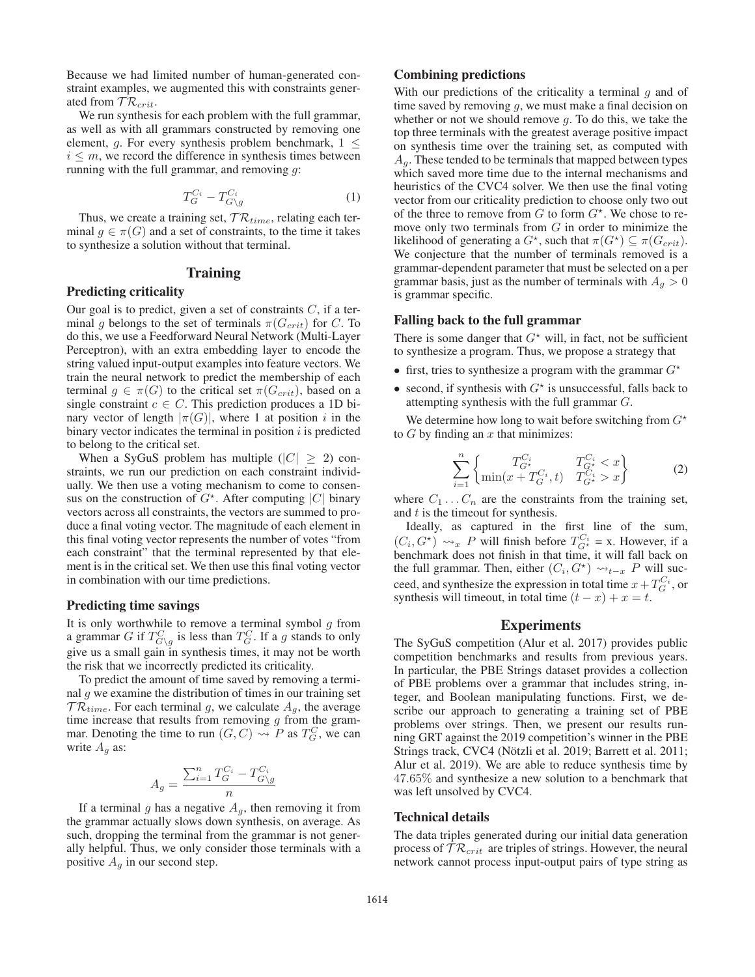Because we had limited number of human-generated constraint examples, we augmented this with constraints generated from  $\mathcal{TR}_{crit}$ .

We run synthesis for each problem with the full grammar, as well as with all grammars constructed by removing one element, g. For every synthesis problem benchmark,  $1 \leq$  $i \leq m$ , we record the difference in synthesis times between running with the full grammar, and removing  $g$ :

$$
T_G^{C_i} - T_{G \setminus g}^{C_i} \tag{1}
$$

Thus, we create a training set,  $TR_{time}$ , relating each terminal  $q \in \pi(G)$  and a set of constraints, to the time it takes to synthesize a solution without that terminal.

### Training

# Predicting criticality

Our goal is to predict, given a set of constraints  $C$ , if a terminal g belongs to the set of terminals  $\pi(G_{crit})$  for C. To do this, we use a Feedforward Neural Network (Multi-Layer Perceptron), with an extra embedding layer to encode the string valued input-output examples into feature vectors. We train the neural network to predict the membership of each terminal  $g \in \pi(G)$  to the critical set  $\pi(G_{crit})$ , based on a single constraint  $c \in C$ . This prediction produces a 1D binary vector of length  $|\pi(G)|$ , where 1 at position i in the binary vector indicates the terminal in position  $i$  is predicted to belong to the critical set.

When a SyGuS problem has multiple ( $|C| \ge 2$ ) constraints, we run our prediction on each constraint individually. We then use a voting mechanism to come to consensus on the construction of  $G^*$ . After computing  $|C|$  binary<br>vectors across all constraints the vectors are summed to provectors across all constraints, the vectors are summed to produce a final voting vector. The magnitude of each element in this final voting vector represents the number of votes "from each constraint" that the terminal represented by that element is in the critical set. We then use this final voting vector in combination with our time predictions.

### Predicting time savings

It is only worthwhile to remove a terminal symbol g from<br>a grammar G if  $T<sup>C</sup>$  is less than  $T<sup>C</sup>$  If a g stands to only a grammar G if  $T_{G\setminus g}^C$  is less than  $T_G^C$ . If a g stands to only give us a small gain in synthesis times it may not be worth give us a small gain in synthesis times, it may not be worth the risk that we incorrectly predicted its criticality.

To predict the amount of time saved by removing a terminal  $q$  we examine the distribution of times in our training set  $TR_{time}$ . For each terminal g, we calculate  $A<sub>g</sub>$ , the average time increase that results from removing  $g$  from the grammar. Denoting the time to run  $(G, C) \rightsquigarrow P$  as  $T_G^C$ , we can write  $A_{\sigma}$  as: write  $A<sub>q</sub>$  as:

$$
A_g = \frac{\sum_{i=1}^n T_G^{C_i} - T_{G \setminus g}^{C_i}}{n}
$$

If a terminal g has a negative  $A_g$ , then removing it from<br>a grammar actually slows down synthesis on average. As the grammar actually slows down synthesis, on average. As such, dropping the terminal from the grammar is not generally helpful. Thus, we only consider those terminals with a positive  $A_q$  in our second step.

# Combining predictions

With our predictions of the criticality a terminal  $g$  and of time saved by removing  $g$ , we must make a final decision on whether or not we should remove  $q$ . To do this, we take the top three terminals with the greatest average positive impact on synthesis time over the training set, as computed with  $A<sub>q</sub>$ . These tended to be terminals that mapped between types which saved more time due to the internal mechanisms and heuristics of the CVC4 solver. We then use the final voting vector from our criticality prediction to choose only two out of the three to remove from  $G$  to form  $G^*$ . We chose to re-<br>move only two terminals from  $G$  in order to minimize the move only two terminals from  $G$  in order to minimize the likelihood of generating a  $G^*$ , such that  $\pi(G^*) \subseteq \pi(G_{crit})$ .<br>We conjecture that the number of terminals removed is a We conjecture that the number of terminals removed is a grammar-dependent parameter that must be selected on a per grammar basis, just as the number of terminals with  $A_q > 0$ is grammar specific.

### Falling back to the full grammar

There is some danger that  $G^*$  will, in fact, not be sufficient<br>to synthesize a program. Thus, we propose a strategy that to synthesize a program. Thus, we propose a strategy that

- first, tries to synthesize a program with the grammar  $G^*$
- second, if synthesis with  $G^*$  is unsuccessful, falls back to attempting synthesis with the full grammar  $G$ attempting synthesis with the full grammar G.

We determine how long to wait before switching from  $G^*$ <br>G by finding an x that minimizes: to  $G$  by finding an  $x$  that minimizes:

$$
\sum_{i=1}^{n} \begin{cases} T_{G^*}^{C_i} & T_{G^*}^{C_i} < x \\ \min(x + T_G^{C_i}, t) & T_{G^*}^{C_i} > x \end{cases} \tag{2}
$$

where  $C_1 \dots C_n$  are the constraints from the training set, and t is the timeout for synthesis and  $t$  is the timeout for synthesis.

Ideally, as captured in the first line of the sum,  $(C_i, G^*) \leadsto_{x} P$  will finish before  $T_{G^*}^{C_i} = x$ . However, if a benchmark does not finish in that time it will fall back on  $(\bigcup_i, \bigcup_j \bigcup_{x} \bigcup_{x} x_i)$  will finish before  $T_{G*} = \lambda$ . However, if a benchmark does not finish in that time, it will fall back on the full grammar. Then, either  $(C_i, G^*) \rightsquigarrow_{t-x} P$  will suc-<br>ceed, and synthesize the expression in total time  $x + T^{C_i}$  or ceed, and synthesize the expression in total time  $x + T_G^{C_i}$ , or<br>synthesis will time out in total time  $(t - x) + x = t$ synthesis will timeout, in total time  $(t - x) + x = t$ .

### Experiments

The SyGuS competition (Alur et al. 2017) provides public competition benchmarks and results from previous years. In particular, the PBE Strings dataset provides a collection of PBE problems over a grammar that includes string, integer, and Boolean manipulating functions. First, we describe our approach to generating a training set of PBE problems over strings. Then, we present our results running GRT against the 2019 competition's winner in the PBE Strings track, CVC4 (Nötzli et al. 2019; Barrett et al. 2011; Alur et al. 2019). We are able to reduce synthesis time by <sup>47</sup>.65% and synthesize a new solution to a benchmark that was left unsolved by CVC4.

### Technical details

The data triples generated during our initial data generation process of  $TR_{crit}$  are triples of strings. However, the neural network cannot process input-output pairs of type string as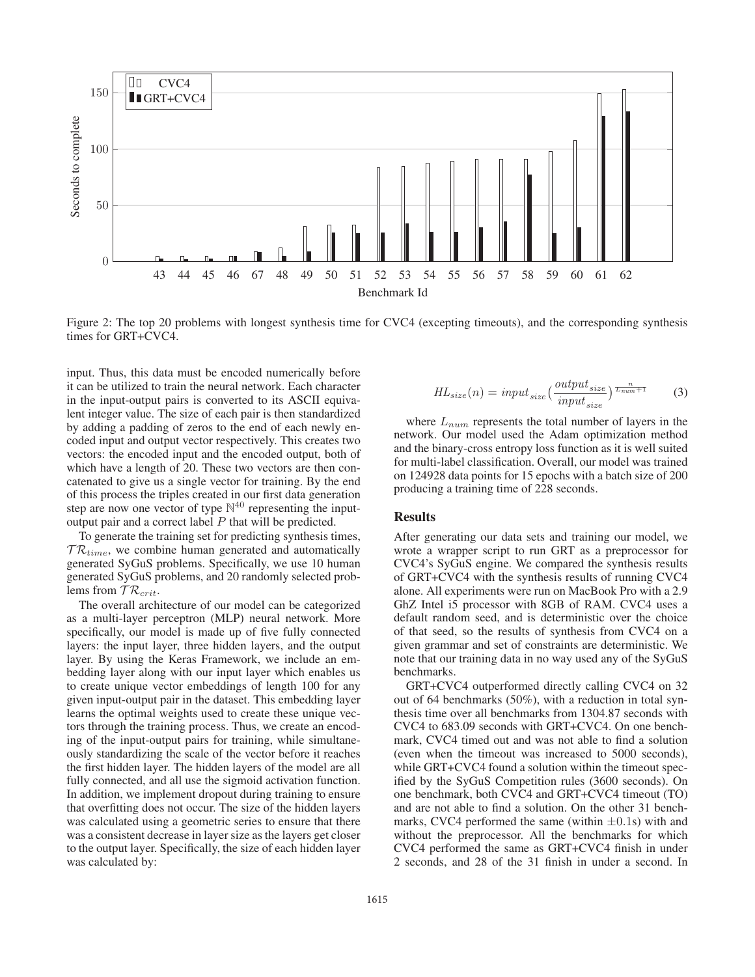

Figure 2: The top 20 problems with longest synthesis time for CVC4 (excepting timeouts), and the corresponding synthesis times for GRT+CVC4.

input. Thus, this data must be encoded numerically before it can be utilized to train the neural network. Each character in the input-output pairs is converted to its ASCII equivalent integer value. The size of each pair is then standardized by adding a padding of zeros to the end of each newly encoded input and output vector respectively. This creates two vectors: the encoded input and the encoded output, both of which have a length of 20. These two vectors are then concatenated to give us a single vector for training. By the end of this process the triples created in our first data generation step are now one vector of type  $\mathbb{N}^{40}$  representing the inputoutput pair and a correct label  $P$  that will be predicted.

To generate the training set for predicting synthesis times,  $TR_{time}$ , we combine human generated and automatically generated SyGuS problems. Specifically, we use 10 human generated SyGuS problems, and 20 randomly selected problems from  $\mathcal{TR}_{crit}$ .

The overall architecture of our model can be categorized as a multi-layer perceptron (MLP) neural network. More specifically, our model is made up of five fully connected layers: the input layer, three hidden layers, and the output layer. By using the Keras Framework, we include an embedding layer along with our input layer which enables us to create unique vector embeddings of length 100 for any given input-output pair in the dataset. This embedding layer learns the optimal weights used to create these unique vectors through the training process. Thus, we create an encoding of the input-output pairs for training, while simultaneously standardizing the scale of the vector before it reaches the first hidden layer. The hidden layers of the model are all fully connected, and all use the sigmoid activation function. In addition, we implement dropout during training to ensure that overfitting does not occur. The size of the hidden layers was calculated using a geometric series to ensure that there was a consistent decrease in layer size as the layers get closer to the output layer. Specifically, the size of each hidden layer was calculated by:

$$
HL_{size}(n) = input_{size} \left(\frac{output_{size}}{input_{size}}\right) \frac{\frac{n}{L_{num}+1}}{\frac{n}{L_{num}}}
$$
 (3)

where  $L_{num}$  represents the total number of layers in the network. Our model used the Adam optimization method and the binary-cross entropy loss function as it is well suited for multi-label classification. Overall, our model was trained on 124928 data points for 15 epochs with a batch size of 200 producing a training time of 228 seconds.

### Results

After generating our data sets and training our model, we wrote a wrapper script to run GRT as a preprocessor for CVC4's SyGuS engine. We compared the synthesis results of GRT+CVC4 with the synthesis results of running CVC4 alone. All experiments were run on MacBook Pro with a 2.9 GhZ Intel i5 processor with 8GB of RAM. CVC4 uses a default random seed, and is deterministic over the choice of that seed, so the results of synthesis from CVC4 on a given grammar and set of constraints are deterministic. We note that our training data in no way used any of the SyGuS benchmarks.

GRT+CVC4 outperformed directly calling CVC4 on 32 out of 64 benchmarks (50%), with a reduction in total synthesis time over all benchmarks from 1304.87 seconds with CVC4 to 683.09 seconds with GRT+CVC4. On one benchmark, CVC4 timed out and was not able to find a solution (even when the timeout was increased to 5000 seconds), while GRT+CVC4 found a solution within the timeout specified by the SyGuS Competition rules (3600 seconds). On one benchmark, both CVC4 and GRT+CVC4 timeout (TO) and are not able to find a solution. On the other 31 benchmarks, CVC4 performed the same (within  $\pm$ 0.1s) with and without the preprocessor. All the benchmarks for which CVC4 performed the same as GRT+CVC4 finish in under 2 seconds, and 28 of the 31 finish in under a second. In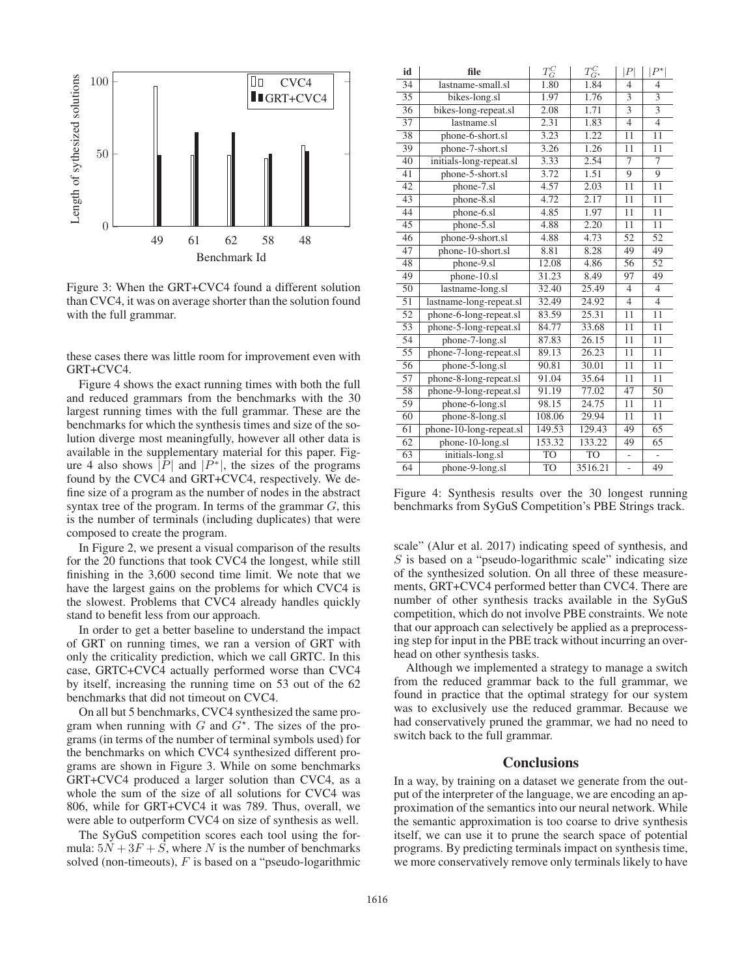

Figure 3: When the GRT+CVC4 found a different solution than CVC4, it was on average shorter than the solution found with the full grammar.

these cases there was little room for improvement even with GRT+CVC4.

Figure 4 shows the exact running times with both the full and reduced grammars from the benchmarks with the 30 largest running times with the full grammar. These are the benchmarks for which the synthesis times and size of the solution diverge most meaningfully, however all other data is available in the supplementary material for this paper. Figure 4 also shows |P| and |P<sup>\*</sup>|, the sizes of the programs found by the CVC4 and GRT+CVC4, respectively. We define size of a program as the number of nodes in the abstract syntax tree of the program. In terms of the grammar  $G$ , this is the number of terminals (including duplicates) that were composed to create the program.

In Figure 2, we present a visual comparison of the results for the 20 functions that took CVC4 the longest, while still finishing in the 3,600 second time limit. We note that we have the largest gains on the problems for which CVC4 is the slowest. Problems that CVC4 already handles quickly stand to benefit less from our approach.

In order to get a better baseline to understand the impact of GRT on running times, we ran a version of GRT with only the criticality prediction, which we call GRTC. In this case, GRTC+CVC4 actually performed worse than CVC4 by itself, increasing the running time on 53 out of the 62 benchmarks that did not timeout on CVC4.

On all but 5 benchmarks, CVC4 synthesized the same program when running with  $G$  and  $G^*$ . The sizes of the pro-<br>grams (in terms of the number of terminal symbols used) for grams (in terms of the number of terminal symbols used) for the benchmarks on which CVC4 synthesized different programs are shown in Figure 3. While on some benchmarks GRT+CVC4 produced a larger solution than CVC4, as a whole the sum of the size of all solutions for CVC4 was 806, while for GRT+CVC4 it was 789. Thus, overall, we were able to outperform CVC4 on size of synthesis as well.

The SyGuS competition scores each tool using the formula:  $5N + 3F + S$ , where N is the number of benchmarks solved (non-timeouts),  $F$  is based on a "pseudo-logarithmic

| id              | file                    | $T_G^C$   | $T_{G^{\star}}^C$  | P               | $P^{\star}$               |
|-----------------|-------------------------|-----------|--------------------|-----------------|---------------------------|
| 34              | lastname-small.sl       | 1.80      | 1.84               | $\overline{4}$  | $\overline{4}$            |
| 35              | bikes-long.sl           | 1.97      | 1.76               | 3               | 3                         |
| 36              | bikes-long-repeat.sl    | 2.08      | 1.71               | $\overline{3}$  | $\overline{\overline{3}}$ |
| 37              | lastname.sl             | 2.31      | 1.83               | $\overline{4}$  | $\overline{4}$            |
| 38              | phone-6-short.sl        | 3.23      | 1.22               | 11              | 11                        |
| 39              | phone-7-short.sl        | 3.26      | 1.26               | 11              | 11                        |
| 40              | initials-long-repeat.sl | 3.33      | 2.54               | $\overline{7}$  | 7                         |
| 41              | phone-5-short.sl        | 3.72      | 1.51               | 9               | 9                         |
| 42              | phone-7.sl              | 4.57      | 2.03               | 11              | 11                        |
| 43              | phone-8.sl              | 4.72      | 2.17               | 11              | 11                        |
| 44              | phone-6.sl              | 4.85      | 1.97               | 11              | 11                        |
| 45              | phone-5.sl              | 4.88      | 2.20               | 11              | 11                        |
| 46              | phone-9-short.sl        | 4.88      | 4.73               | 52              | 52                        |
| 47              | phone-10-short.sl       | 8.81      | 8.28               | 49              | 49                        |
| 48              | phone-9.sl              | 12.08     | 4.86               | 56              | 52                        |
| 49              | $phone-10.s1$           | 31.23     | 8.49               | 97              | 49                        |
| 50              | lastname-long.sl        | 32.40     | 25.49              | $\overline{4}$  | $\overline{4}$            |
| 51              | lastname-long-repeat.sl | 32.49     | 24.92              | $\overline{4}$  | $\overline{4}$            |
| $\overline{52}$ | phone-6-long-repeat.sl  | 83.59     | 25.31              | $1\overline{1}$ | 11                        |
| 53              | phone-5-long-repeat.sl  | 84.77     | 33.68              | 11              | 11                        |
| $\overline{54}$ | phone-7-long.sl         | 87.83     | 26.15              | 11              | 11                        |
| $\overline{55}$ | phone-7-long-repeat.sl  | 89.13     | $\overline{26.23}$ | 11              | 11                        |
| 56              | phone-5-long.sl         | 90.81     | 30.01              | 11              | 11                        |
| 57              | phone-8-long-repeat.sl  | 91.04     | 35.64              | 11              | 11                        |
| 58              | phone-9-long-repeat.sl  | 91.19     | 77.02              | 47              | 50                        |
| 59              | phone-6-long.sl         | 98.15     | 24.75              | 11              | 11                        |
| 60              | phone-8-long.sl         | 108.06    | 29.94              | 11              | 11                        |
| 61              | phone-10-long-repeat.sl | 149.53    | 129.43             | 49              | 65                        |
| 62              | phone-10-long.sl        | 153.32    | 133.22             | 49              | 65                        |
| 63              | initials-long.sl        | <b>TO</b> | <b>TO</b>          |                 |                           |
| 64              | phone-9-long.sl         | <b>TO</b> | 3516.21            |                 | 49                        |

Figure 4: Synthesis results over the 30 longest running benchmarks from SyGuS Competition's PBE Strings track.

scale" (Alur et al. 2017) indicating speed of synthesis, and  $S$  is based on a "pseudo-logarithmic scale" indicating size of the synthesized solution. On all three of these measurements, GRT+CVC4 performed better than CVC4. There are number of other synthesis tracks available in the SyGuS competition, which do not involve PBE constraints. We note that our approach can selectively be applied as a preprocessing step for input in the PBE track without incurring an overhead on other synthesis tasks.

Although we implemented a strategy to manage a switch from the reduced grammar back to the full grammar, we found in practice that the optimal strategy for our system was to exclusively use the reduced grammar. Because we had conservatively pruned the grammar, we had no need to switch back to the full grammar.

# **Conclusions**

In a way, by training on a dataset we generate from the output of the interpreter of the language, we are encoding an approximation of the semantics into our neural network. While the semantic approximation is too coarse to drive synthesis itself, we can use it to prune the search space of potential programs. By predicting terminals impact on synthesis time, we more conservatively remove only terminals likely to have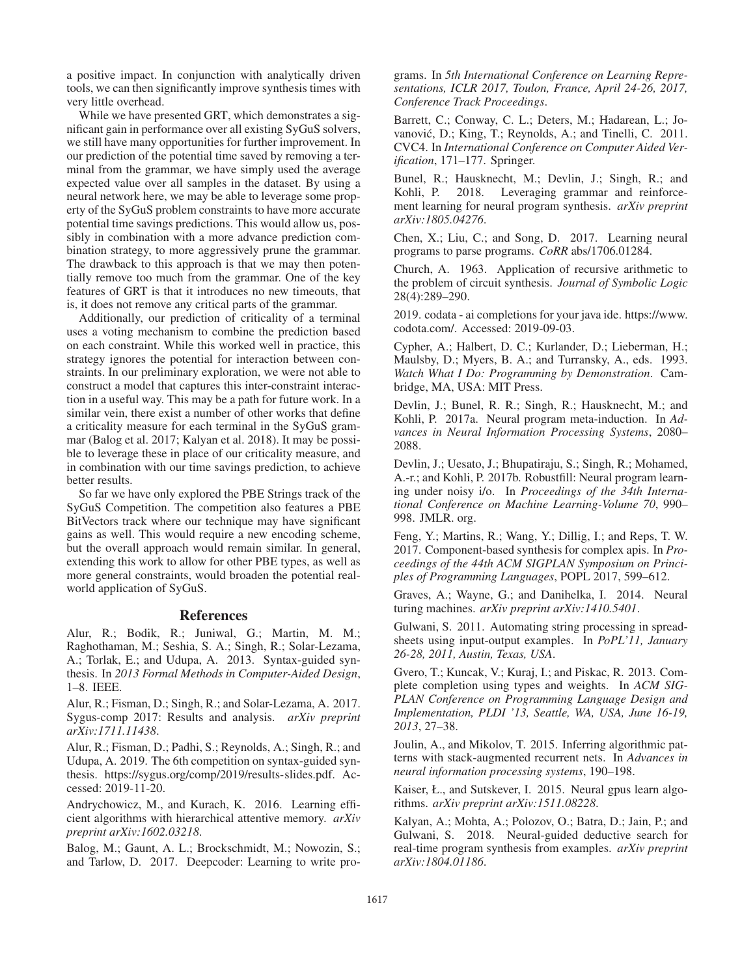a positive impact. In conjunction with analytically driven tools, we can then significantly improve synthesis times with very little overhead.

While we have presented GRT, which demonstrates a significant gain in performance over all existing SyGuS solvers, we still have many opportunities for further improvement. In our prediction of the potential time saved by removing a terminal from the grammar, we have simply used the average expected value over all samples in the dataset. By using a neural network here, we may be able to leverage some property of the SyGuS problem constraints to have more accurate potential time savings predictions. This would allow us, possibly in combination with a more advance prediction combination strategy, to more aggressively prune the grammar. The drawback to this approach is that we may then potentially remove too much from the grammar. One of the key features of GRT is that it introduces no new timeouts, that is, it does not remove any critical parts of the grammar.

Additionally, our prediction of criticality of a terminal uses a voting mechanism to combine the prediction based on each constraint. While this worked well in practice, this strategy ignores the potential for interaction between constraints. In our preliminary exploration, we were not able to construct a model that captures this inter-constraint interaction in a useful way. This may be a path for future work. In a similar vein, there exist a number of other works that define a criticality measure for each terminal in the SyGuS grammar (Balog et al. 2017; Kalyan et al. 2018). It may be possible to leverage these in place of our criticality measure, and in combination with our time savings prediction, to achieve better results.

So far we have only explored the PBE Strings track of the SyGuS Competition. The competition also features a PBE BitVectors track where our technique may have significant gains as well. This would require a new encoding scheme, but the overall approach would remain similar. In general, extending this work to allow for other PBE types, as well as more general constraints, would broaden the potential realworld application of SyGuS.

### References

Alur, R.; Bodik, R.; Juniwal, G.; Martin, M. M.; Raghothaman, M.; Seshia, S. A.; Singh, R.; Solar-Lezama, A.; Torlak, E.; and Udupa, A. 2013. Syntax-guided synthesis. In *2013 Formal Methods in Computer-Aided Design*, 1–8. IEEE.

Alur, R.; Fisman, D.; Singh, R.; and Solar-Lezama, A. 2017. Sygus-comp 2017: Results and analysis. *arXiv preprint arXiv:1711.11438*.

Alur, R.; Fisman, D.; Padhi, S.; Reynolds, A.; Singh, R.; and Udupa, A. 2019. The 6th competition on syntax-guided synthesis. https://sygus.org/comp/2019/results-slides.pdf. Accessed: 2019-11-20.

Andrychowicz, M., and Kurach, K. 2016. Learning efficient algorithms with hierarchical attentive memory. *arXiv preprint arXiv:1602.03218*.

Balog, M.; Gaunt, A. L.; Brockschmidt, M.; Nowozin, S.; and Tarlow, D. 2017. Deepcoder: Learning to write pro-

grams. In *5th International Conference on Learning Representations, ICLR 2017, Toulon, France, April 24-26, 2017, Conference Track Proceedings*.

Barrett, C.; Conway, C. L.; Deters, M.; Hadarean, L.; Jovanović, D.; King, T.; Reynolds, A.; and Tinelli, C. 2011. CVC4. In *International Conference on Computer Aided Verification*, 171–177. Springer.

Bunel, R.; Hausknecht, M.; Devlin, J.; Singh, R.; and Kohli, P. 2018. Leveraging grammar and reinforcement learning for neural program synthesis. *arXiv preprint arXiv:1805.04276*.

Chen, X.; Liu, C.; and Song, D. 2017. Learning neural programs to parse programs. *CoRR* abs/1706.01284.

Church, A. 1963. Application of recursive arithmetic to the problem of circuit synthesis. *Journal of Symbolic Logic* 28(4):289–290.

2019. codata - ai completions for your java ide. https://www. codota.com/. Accessed: 2019-09-03.

Cypher, A.; Halbert, D. C.; Kurlander, D.; Lieberman, H.; Maulsby, D.; Myers, B. A.; and Turransky, A., eds. 1993. *Watch What I Do: Programming by Demonstration*. Cambridge, MA, USA: MIT Press.

Devlin, J.; Bunel, R. R.; Singh, R.; Hausknecht, M.; and Kohli, P. 2017a. Neural program meta-induction. In *Advances in Neural Information Processing Systems*, 2080– 2088.

Devlin, J.; Uesato, J.; Bhupatiraju, S.; Singh, R.; Mohamed, A.-r.; and Kohli, P. 2017b. Robustfill: Neural program learning under noisy i/o. In *Proceedings of the 34th International Conference on Machine Learning-Volume 70*, 990– 998. JMLR. org.

Feng, Y.; Martins, R.; Wang, Y.; Dillig, I.; and Reps, T. W. 2017. Component-based synthesis for complex apis. In *Proceedings of the 44th ACM SIGPLAN Symposium on Principles of Programming Languages*, POPL 2017, 599–612.

Graves, A.; Wayne, G.; and Danihelka, I. 2014. Neural turing machines. *arXiv preprint arXiv:1410.5401*.

Gulwani, S. 2011. Automating string processing in spreadsheets using input-output examples. In *PoPL'11, January 26-28, 2011, Austin, Texas, USA*.

Gvero, T.; Kuncak, V.; Kuraj, I.; and Piskac, R. 2013. Complete completion using types and weights. In *ACM SIG-PLAN Conference on Programming Language Design and Implementation, PLDI '13, Seattle, WA, USA, June 16-19, 2013*, 27–38.

Joulin, A., and Mikolov, T. 2015. Inferring algorithmic patterns with stack-augmented recurrent nets. In *Advances in neural information processing systems*, 190–198.

Kaiser, Ł., and Sutskever, I. 2015. Neural gpus learn algorithms. *arXiv preprint arXiv:1511.08228*.

Kalyan, A.; Mohta, A.; Polozov, O.; Batra, D.; Jain, P.; and Gulwani, S. 2018. Neural-guided deductive search for real-time program synthesis from examples. *arXiv preprint arXiv:1804.01186*.